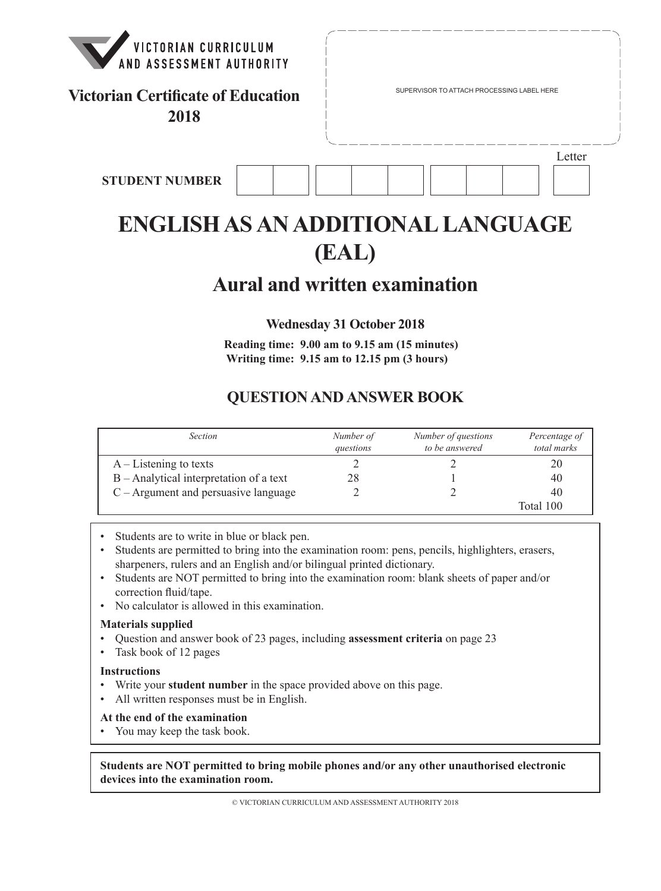| VICTORIAN CURRICULUM<br>AND ASSESSMENT AUTHORITY  |                                            |
|---------------------------------------------------|--------------------------------------------|
| <b>Victorian Certificate of Education</b><br>2018 | SUPERVISOR TO ATTACH PROCESSING LABEL HERE |
| <b>STUDENT NUMBER</b>                             | Letter<br>ENCI ISH AS AN ADDITIONAL LANCH  |

# **ENGLISH AS AN ADDITIONAL LANGUAGE (EAL)**

# **Aural and written examination**

**Wednesday 31 October 2018**

**Reading time: 9.00 am to 9.15 am (15 minutes) Writing time: 9.15 am to 12.15 pm (3 hours)**

# **QUESTION AND ANSWER BOOK**

| <b>Section</b>                            | Number of<br>questions | Number of questions<br>to be answered | Percentage of<br>total marks |
|-------------------------------------------|------------------------|---------------------------------------|------------------------------|
| $A$ – Listening to texts                  |                        |                                       | 20                           |
| $B$ – Analytical interpretation of a text | 28                     |                                       | 40                           |
| $C -$ Argument and persuasive language    |                        |                                       | 40                           |
|                                           |                        |                                       | Total 100                    |

- • Students are to write in blue or black pen.
- • Students are permitted to bring into the examination room: pens, pencils, highlighters, erasers, sharpeners, rulers and an English and/or bilingual printed dictionary.
- Students are NOT permitted to bring into the examination room: blank sheets of paper and/or correction fluid/tape.
- No calculator is allowed in this examination.

#### **Materials supplied**

- Question and answer book of 23 pages, including **assessment criteria** on page 23
- Task book of 12 pages

### **Instructions**

- Write your **student number** in the space provided above on this page.
- All written responses must be in English.

#### **At the end of the examination**

• You may keep the task book.

**Students are NOT permitted to bring mobile phones and/or any other unauthorised electronic devices into the examination room.**

© VICTORIAN CURRICULUM AND ASSESSMENT AUTHORITY 2018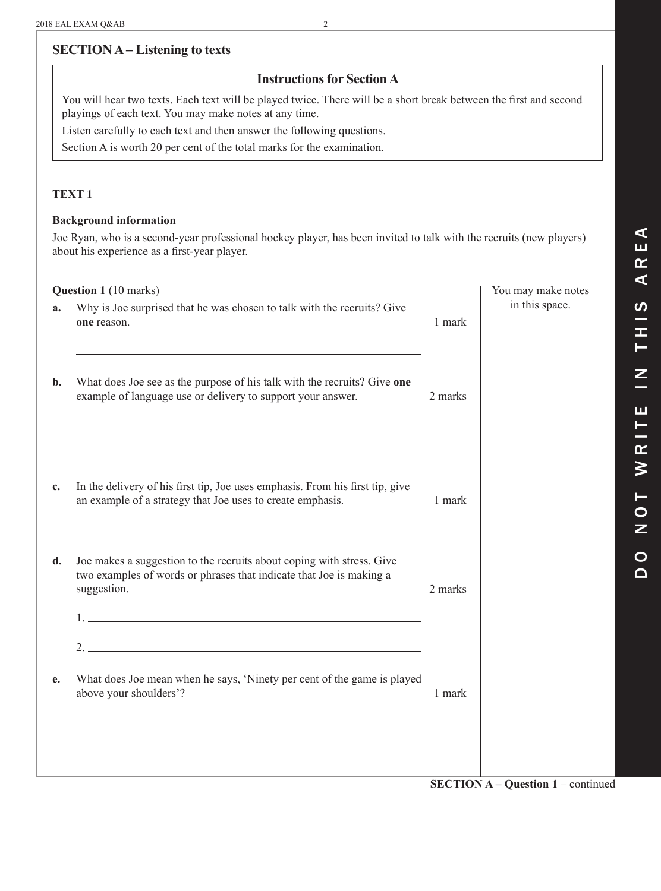# **SECTION A – Listening to texts**

**Instructions for Section A**

You will hear two texts. Each text will be played twice. There will be a short break between the first and second playings of each text. You may make notes at any time.

Listen carefully to each text and then answer the following questions.

Section A is worth 20 per cent of the total marks for the examination.

# **TEXT 1**

### **Background information**

Joe Ryan, who is a second-year professional hockey player, has been invited to talk with the recruits (new players) about his experience as a first-year player.

| a.             | <b>Question 1</b> (10 marks)<br>Why is Joe surprised that he was chosen to talk with the recruits? Give<br>one reason.                                      | 1 mark  | You may make notes<br>in this space.                 |
|----------------|-------------------------------------------------------------------------------------------------------------------------------------------------------------|---------|------------------------------------------------------|
| $\mathbf{b}$ . | What does Joe see as the purpose of his talk with the recruits? Give one<br>example of language use or delivery to support your answer.                     | 2 marks |                                                      |
| $c_{\cdot}$    | In the delivery of his first tip, Joe uses emphasis. From his first tip, give<br>an example of a strategy that Joe uses to create emphasis.                 | 1 mark  |                                                      |
| d.             | Joe makes a suggestion to the recruits about coping with stress. Give<br>two examples of words or phrases that indicate that Joe is making a<br>suggestion. | 2 marks |                                                      |
| e.             | What does Joe mean when he says, 'Ninety per cent of the game is played<br>above your shoulders'?                                                           | 1 mark  |                                                      |
|                |                                                                                                                                                             |         | $R$ <b>CTION</b> $A =$ <b>Ougetion</b> $1 =$ continu |

**SECTION A – Question 1** – continued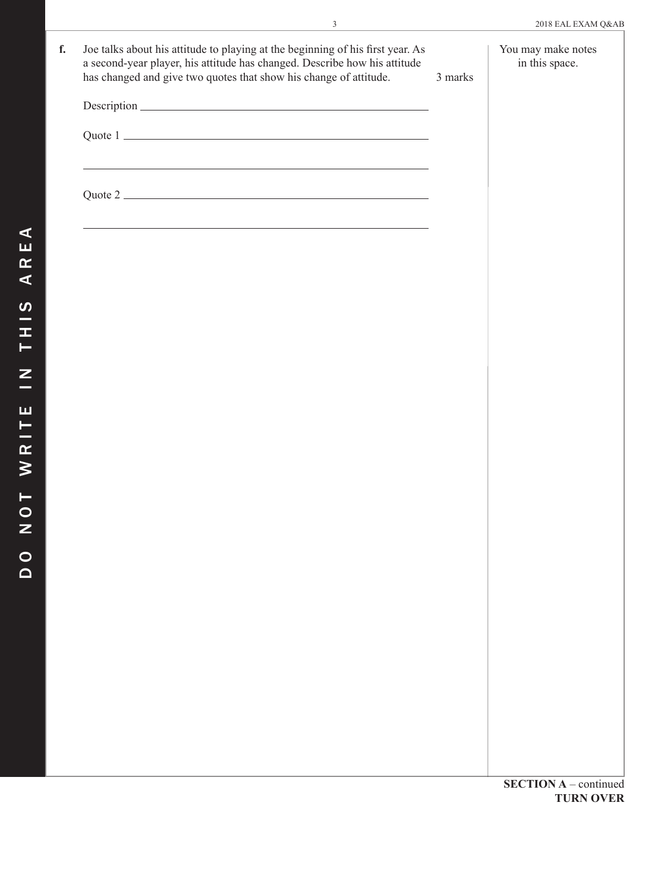| Joe talks about his attitude to playing at the beginning of his first year. As<br>a second-year player, his attitude has changed. Describe how his attitude<br>has changed and give two quotes that show his change of attitude.         | 3 marks | You may make notes<br>in this space. |
|------------------------------------------------------------------------------------------------------------------------------------------------------------------------------------------------------------------------------------------|---------|--------------------------------------|
|                                                                                                                                                                                                                                          |         |                                      |
| Quote 1                                                                                                                                                                                                                                  |         |                                      |
| the control of the control of the control of the control of the control of the control of the control of the control of the control of the control of the control of the control of the control of the control of the control<br>Quote 2 |         |                                      |
| <u> 1989 - Johann Stoff, deutscher Stoff, der Stoff, der Stoff, der Stoff, der Stoff, der Stoff, der Stoff, der S</u>                                                                                                                    |         |                                      |
|                                                                                                                                                                                                                                          |         |                                      |
|                                                                                                                                                                                                                                          |         |                                      |
|                                                                                                                                                                                                                                          |         |                                      |
|                                                                                                                                                                                                                                          |         |                                      |
|                                                                                                                                                                                                                                          |         |                                      |
|                                                                                                                                                                                                                                          |         |                                      |
|                                                                                                                                                                                                                                          |         |                                      |
|                                                                                                                                                                                                                                          |         |                                      |
|                                                                                                                                                                                                                                          |         |                                      |
|                                                                                                                                                                                                                                          |         |                                      |
|                                                                                                                                                                                                                                          |         |                                      |
|                                                                                                                                                                                                                                          |         |                                      |
|                                                                                                                                                                                                                                          |         | <b>SECTION A - continued</b>         |

**TURN OVER**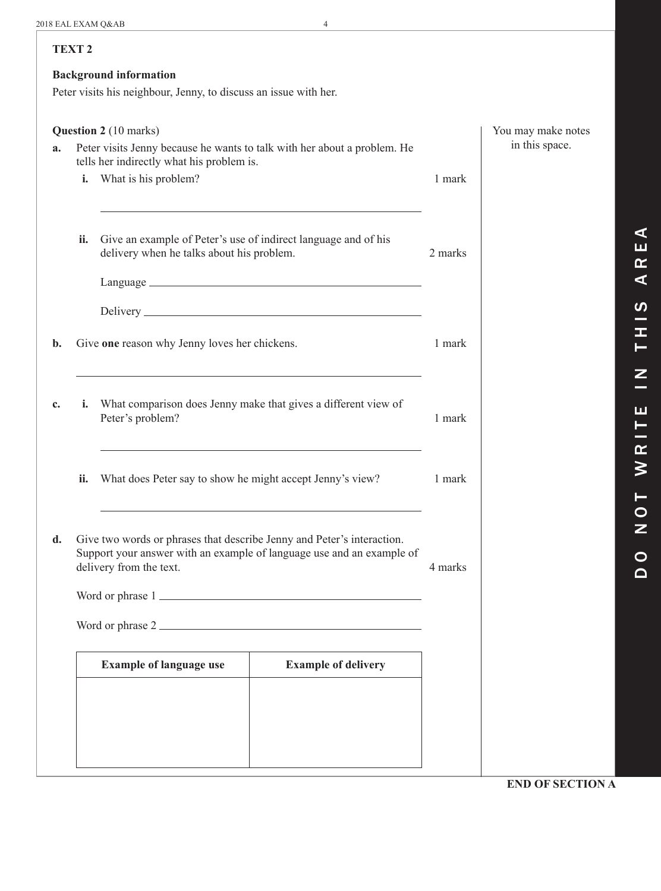|    | TEXT 2 |                                                                                                                       |         |
|----|--------|-----------------------------------------------------------------------------------------------------------------------|---------|
|    |        | <b>Background information</b>                                                                                         |         |
|    |        | Peter visits his neighbour, Jenny, to discuss an issue with her.                                                      |         |
|    |        | <b>Question 2</b> (10 marks)                                                                                          |         |
| a. |        | Peter visits Jenny because he wants to talk with her about a problem. He<br>tells her indirectly what his problem is. |         |
|    |        | <b>i.</b> What is his problem?                                                                                        | 1 mark  |
|    | ii.    | Give an example of Peter's use of indirect language and of his<br>delivery when he talks about his problem.           | 2 marks |
|    |        | Language _                                                                                                            |         |

|  | <b>b.</b> Give one reason why Jenny loves her chickens. | 1 mark |
|--|---------------------------------------------------------|--------|
|--|---------------------------------------------------------|--------|

**c. i.** What comparison does Jenny make that gives a different view of Peter's problem? 1 mark

Delivery

- **ii.** What does Peter say to show he might accept Jenny's view? 1 mark
- **d.** Give two words or phrases that describe Jenny and Peter's interaction. Support your answer with an example of language use and an example of delivery from the text. 4 marks

Word or phrase 1

Word or phrase 2

| <b>Example of language use</b> | <b>Example of delivery</b> |
|--------------------------------|----------------------------|
|                                |                            |
|                                |                            |
|                                |                            |
|                                |                            |

You may make notes in this space.

**END OF SECTION A**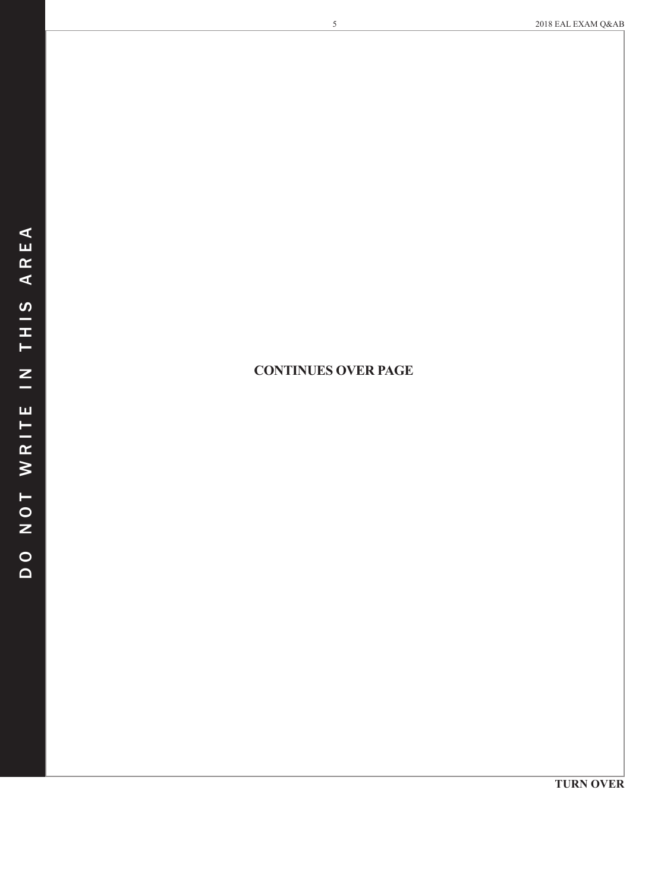# **continues over page**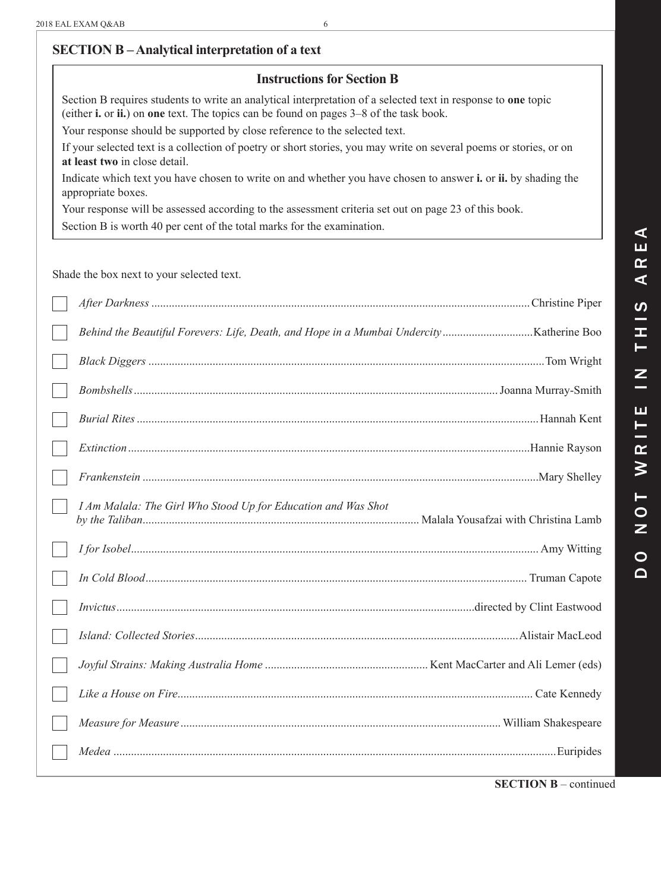# **SECTION B – Analytical interpretation of a text**

| <b>Instructions for Section B</b>                                                                                                                                                                              |  |
|----------------------------------------------------------------------------------------------------------------------------------------------------------------------------------------------------------------|--|
| Section B requires students to write an analytical interpretation of a selected text in response to <b>one</b> topic<br>(either i. or ii.) on one text. The topics can be found on pages 3–8 of the task book. |  |
| Your response should be supported by close reference to the selected text.                                                                                                                                     |  |
| If your selected text is a collection of poetry or short stories, you may write on several poems or stories, or on                                                                                             |  |
| at least two in close detail.                                                                                                                                                                                  |  |
| Indicate which text you have chosen to write on and whether you have chosen to answer i. or ii. by shading the<br>appropriate boxes.                                                                           |  |
| Your response will be assessed according to the assessment criteria set out on page 23 of this book.                                                                                                           |  |
| Section B is worth 40 per cent of the total marks for the examination.                                                                                                                                         |  |
|                                                                                                                                                                                                                |  |
| Shade the box next to your selected text.                                                                                                                                                                      |  |
|                                                                                                                                                                                                                |  |
|                                                                                                                                                                                                                |  |
|                                                                                                                                                                                                                |  |
|                                                                                                                                                                                                                |  |
|                                                                                                                                                                                                                |  |
|                                                                                                                                                                                                                |  |
|                                                                                                                                                                                                                |  |
|                                                                                                                                                                                                                |  |
| I Am Malala: The Girl Who Stood Up for Education and Was Shot                                                                                                                                                  |  |
|                                                                                                                                                                                                                |  |
|                                                                                                                                                                                                                |  |
|                                                                                                                                                                                                                |  |
|                                                                                                                                                                                                                |  |
|                                                                                                                                                                                                                |  |
|                                                                                                                                                                                                                |  |
|                                                                                                                                                                                                                |  |
|                                                                                                                                                                                                                |  |
|                                                                                                                                                                                                                |  |

 $\blacktriangleleft$ ш

**SECTION B** – continued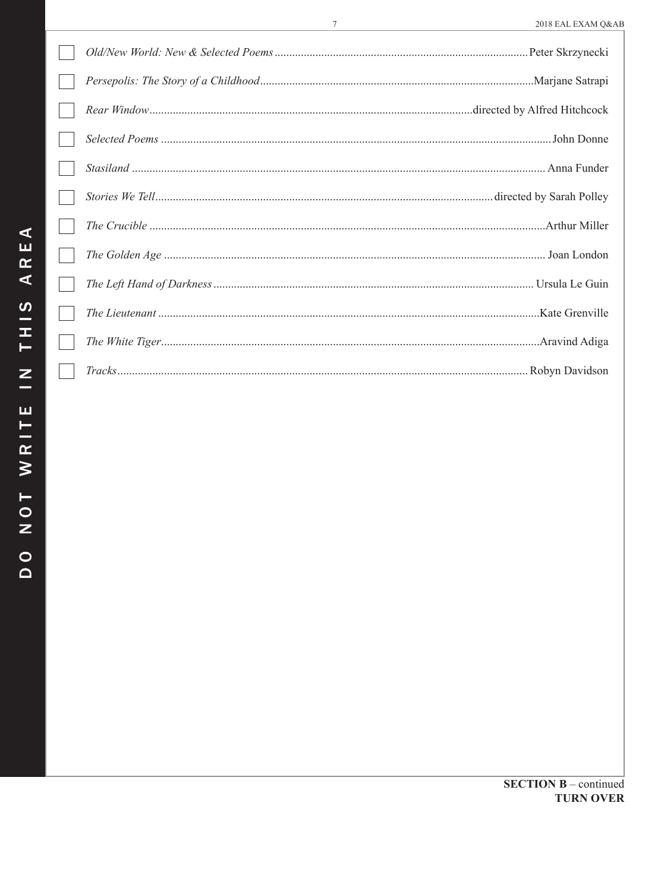|                          | Persepolis: The Story of |
|--------------------------|--------------------------|
|                          | Rear Window              |
|                          | Selected Poems           |
|                          | Stasiland                |
|                          | Stories We Tell          |
| ⋖                        | The Crucible             |
| ш<br>$\alpha$            | The Golden Age           |
| ⋖                        | The Left Hand of Darkne  |
| TH <sub>IS</sub>         | The Lieutenant           |
|                          | The White Tiger          |
|                          |                          |
| ш                        |                          |
| $\overline{\phantom{0}}$ |                          |
| Œ                        |                          |
|                          |                          |
|                          |                          |

NO<sub>D</sub>

 $\Box$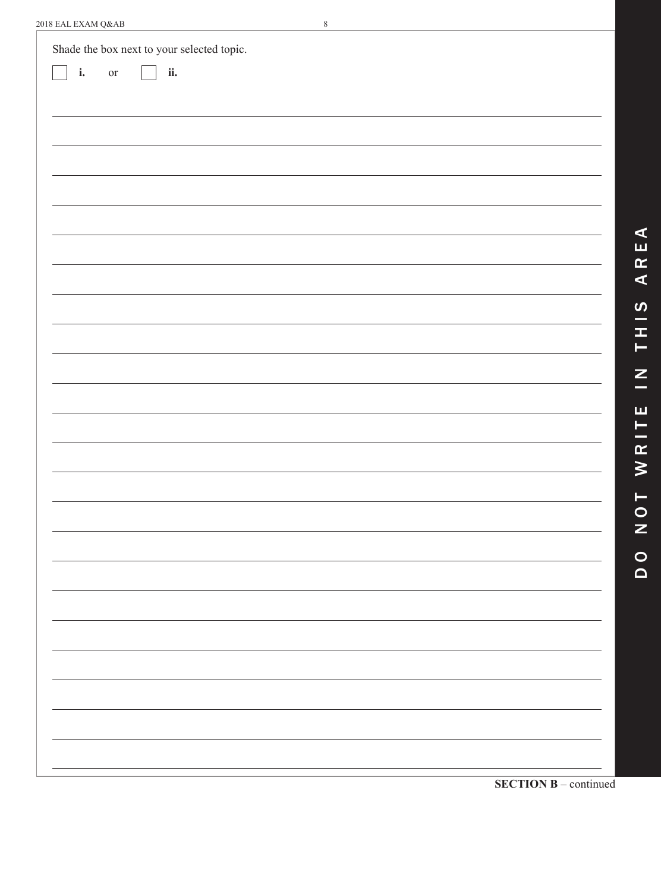| Shade the box next to your selected topic. |  |
|--------------------------------------------|--|
| ii.<br>i.<br><b>or</b>                     |  |
|                                            |  |
|                                            |  |
|                                            |  |
|                                            |  |
|                                            |  |
|                                            |  |
|                                            |  |
|                                            |  |
|                                            |  |
|                                            |  |
|                                            |  |
|                                            |  |
|                                            |  |
|                                            |  |
|                                            |  |
|                                            |  |
|                                            |  |
|                                            |  |
|                                            |  |
|                                            |  |
|                                            |  |
|                                            |  |
|                                            |  |
|                                            |  |
|                                            |  |
|                                            |  |
|                                            |  |
|                                            |  |
|                                            |  |
|                                            |  |
|                                            |  |
|                                            |  |
|                                            |  |
|                                            |  |
|                                            |  |
|                                            |  |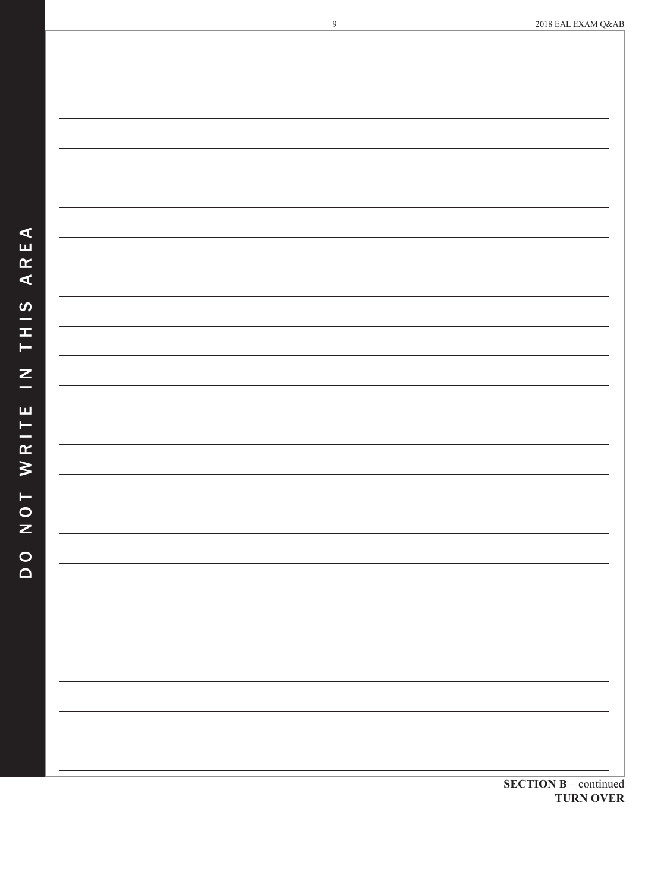| $C_{L}C_{L}T_{L}C_{L}T_{L}$ |
|-----------------------------|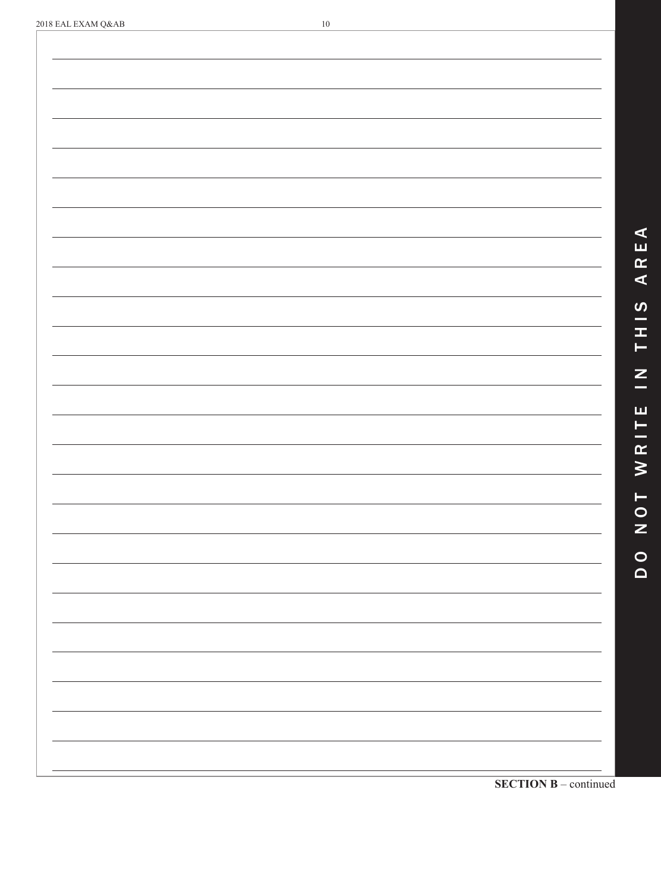**SECTION B** – continued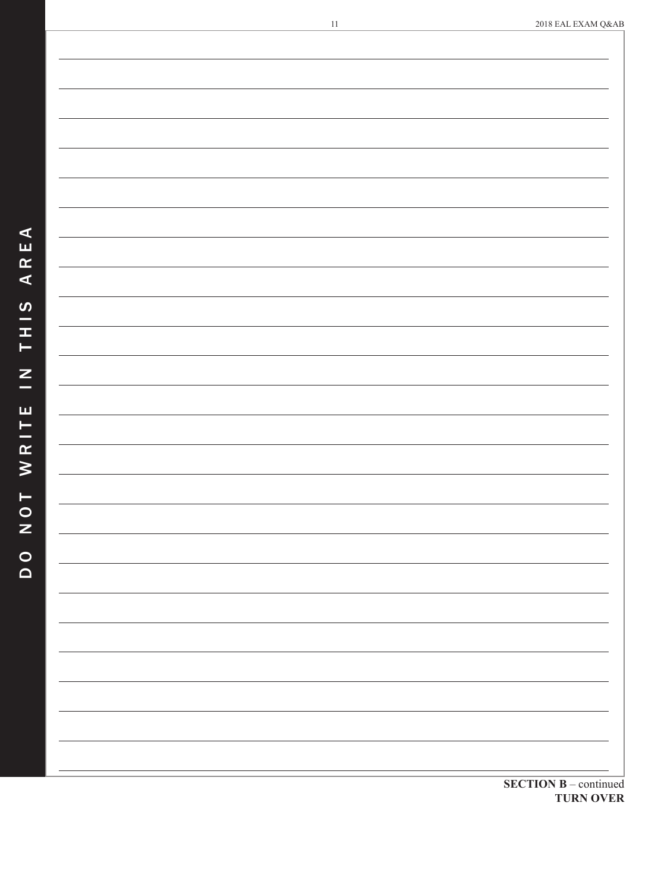| CFAHOND |
|---------|

**SECTION B** – continued **TURN OVER**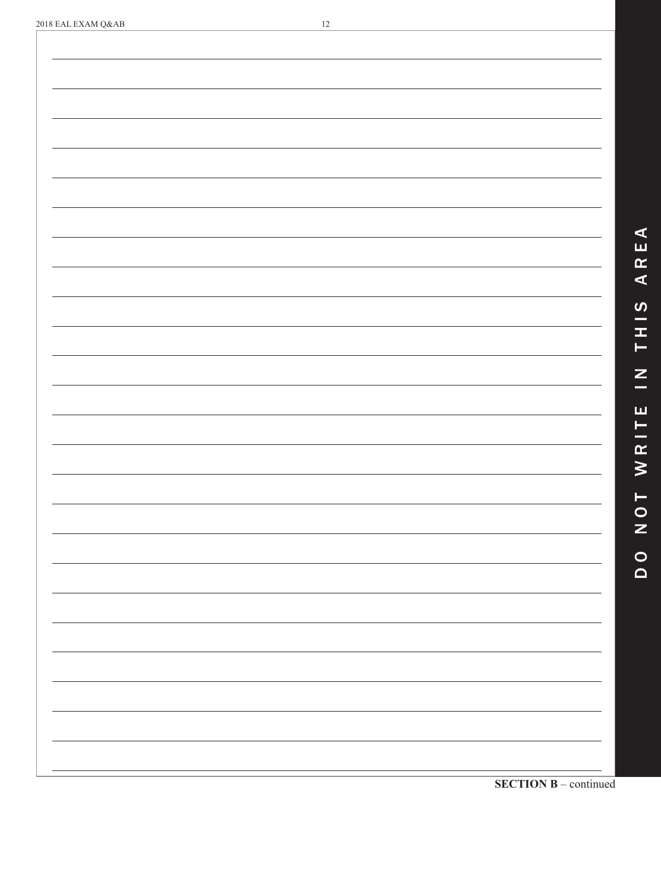| AREA             |
|------------------|
| THIS             |
| É                |
| VRITE            |
| l<br>C           |
| O<br>C<br>ı<br>I |

| -                        |
|--------------------------|
|                          |
| -                        |
|                          |
| $\overline{\phantom{0}}$ |
|                          |
|                          |
|                          |
|                          |
|                          |
|                          |

**SECTION B** – continued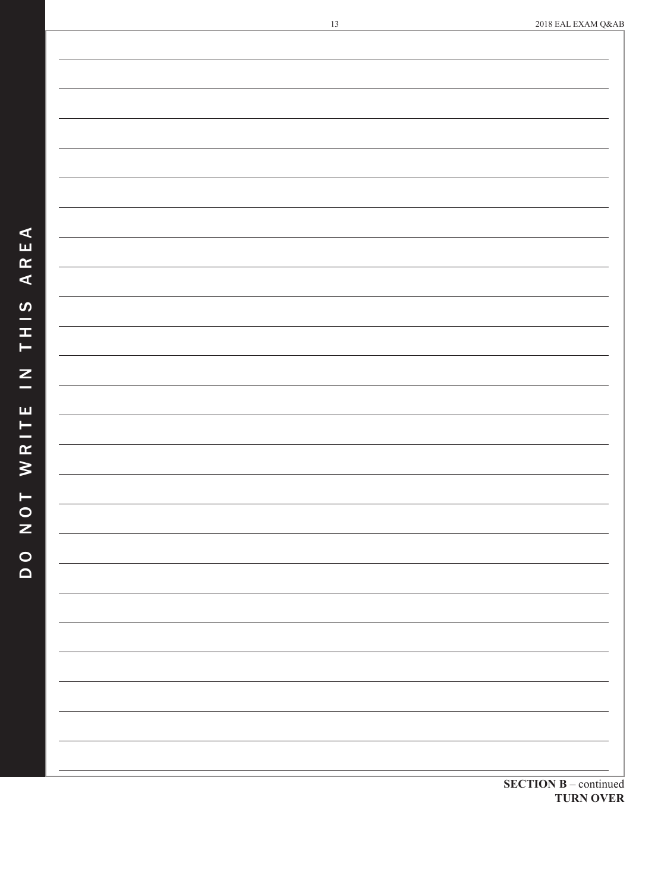| $\overline{\text{SECTION D}}$ contin |
|--------------------------------------|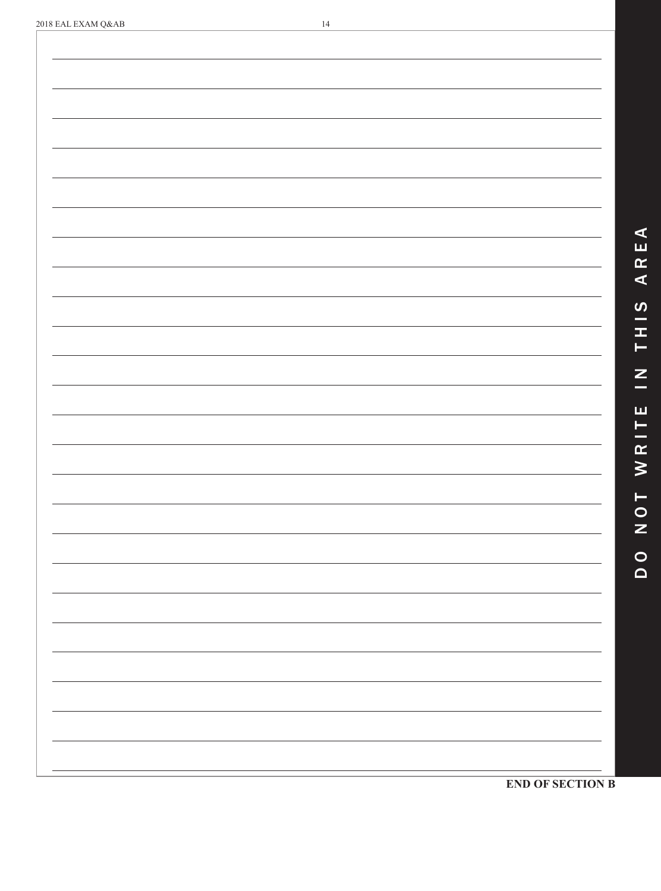**END OF SECTION B**

d o n o t w r i t e i n t h i s a r e a

ш  $\vdash$  $\equiv$  $\pmb{\alpha}$  $\geq$ 

 $\begin{array}{c}\n\blacksquare \\
\blacksquare\n\end{array}$ 

 $\mathbf{z}$ 

 $\circ$  $\Omega$ 

 $\mathbf{z}$  $\equiv$ 

 $\blacktriangleleft$ ш  $\mathbf{\underline{\alpha}}$  $\blacktriangleleft$ 

 $\boldsymbol{\omega}$  $\equiv$  $\pm$  $\vdash$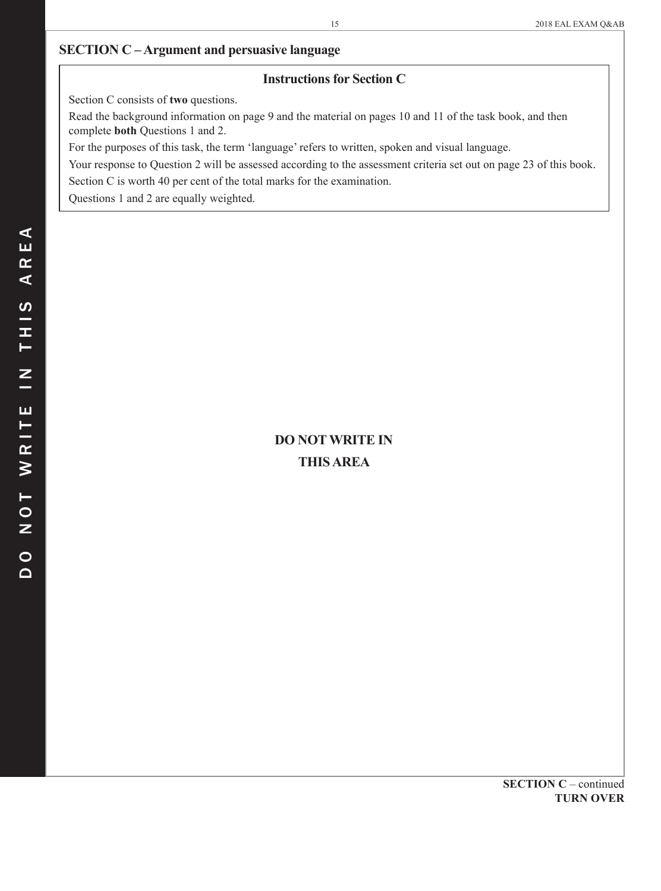# **SECTION C – Argument and persuasive language**

# **Instructions for Section C**

Section C consists of **two** questions.

Read the background information on page 9 and the material on pages 10 and 11 of the task book, and then complete **both** Questions 1 and 2.

For the purposes of this task, the term 'language' refers to written, spoken and visual language.

Your response to Question 2 will be assessed according to the assessment criteria set out on page 23 of this book. Section C is worth 40 per cent of the total marks for the examination.

Questions 1 and 2 are equally weighted.

# **DO NOT WRITE IN THIS AREA**

**SECTION C** – continued **TURN OVER**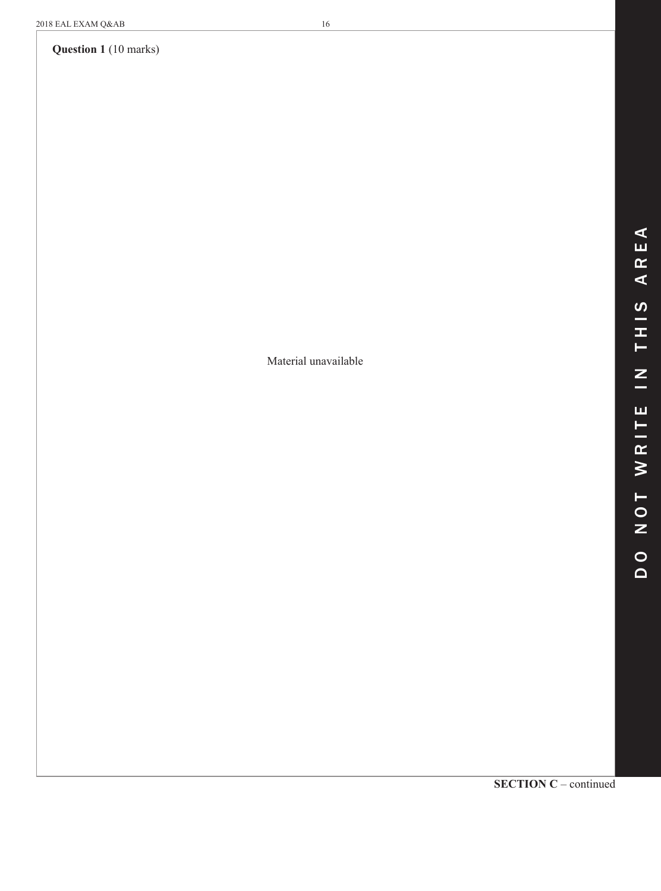# **Question 1** (10 marks)

Material unavailable

**SECTION C** – continued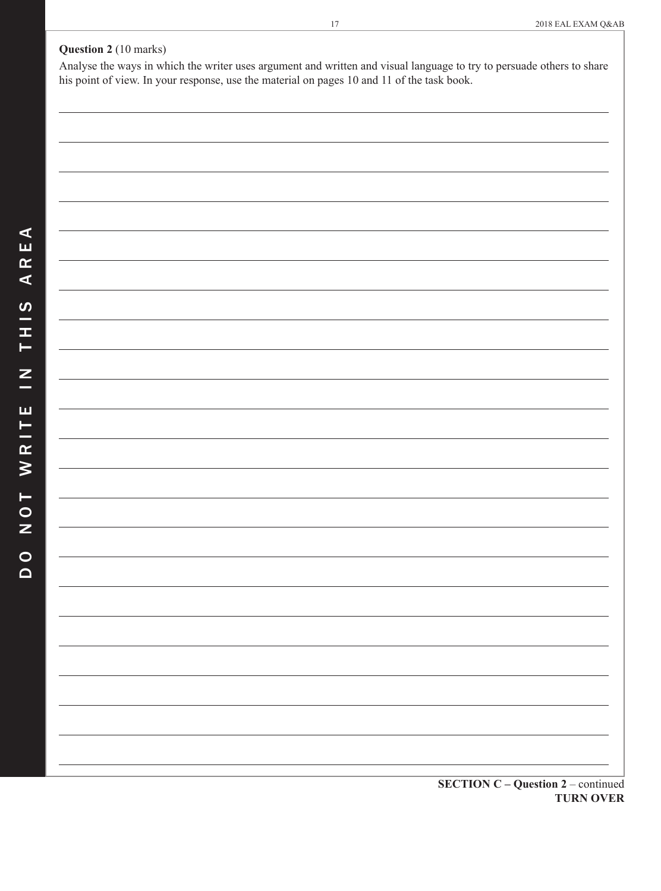# **Question 2** (10 marks)

Analyse the ways in which the writer uses argument and written and visual language to try to persuade others to share his point of view. In your response, use the material on pages 10 and 11 of the task book.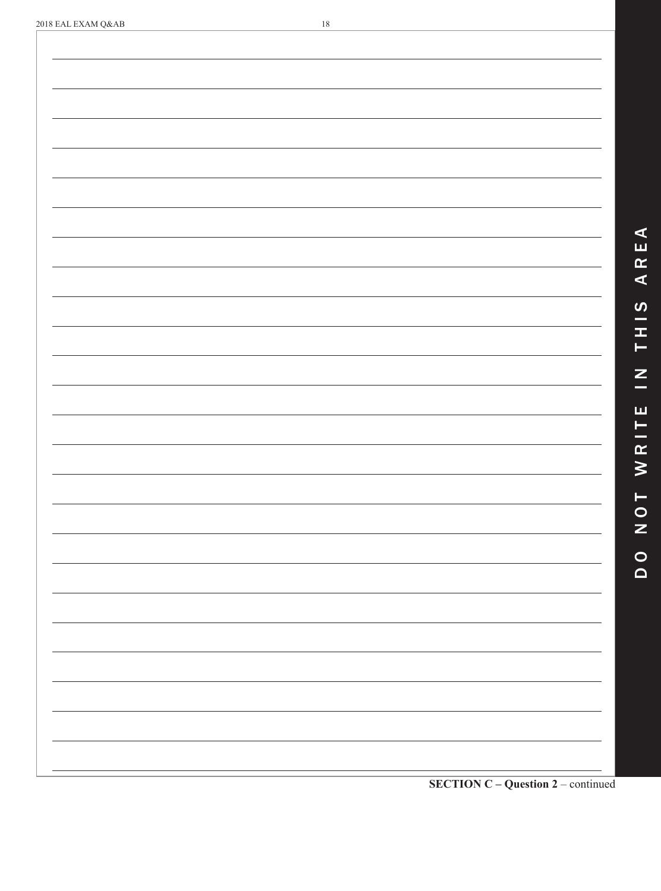d o n o t w r i t e i n t h i s a r e a

WRITE

TON

 $\begin{array}{c}\n0 \\
0\n\end{array}$ 

 $\overline{z}$ 

 $\blacktriangleleft$ ய

 $\overline{R}$ 

THIS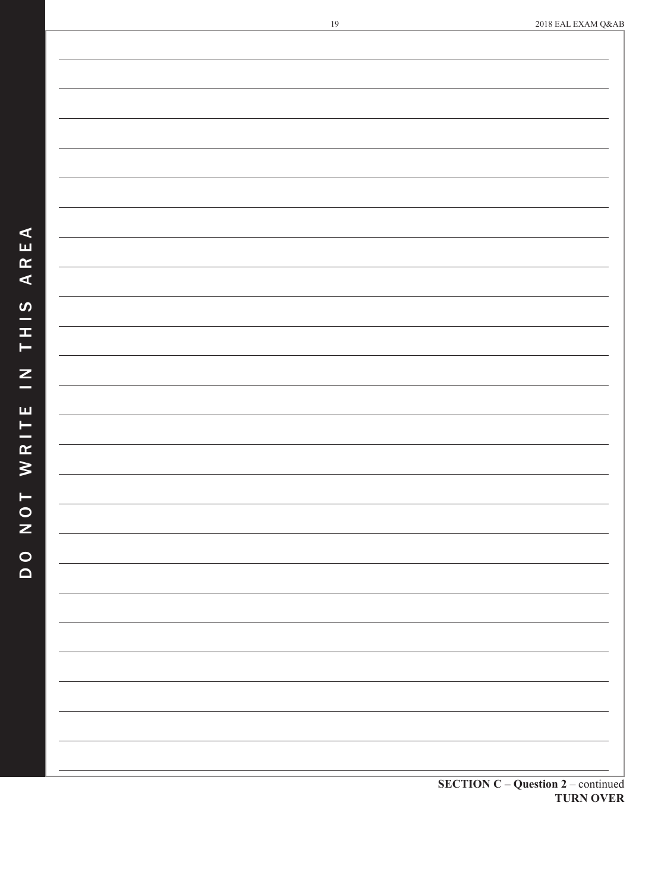| $\overline{\phantom{a}}$                                                  |
|---------------------------------------------------------------------------|
|                                                                           |
|                                                                           |
|                                                                           |
|                                                                           |
|                                                                           |
|                                                                           |
| $\sim$ $\sim$                                                             |
|                                                                           |
|                                                                           |
|                                                                           |
|                                                                           |
|                                                                           |
|                                                                           |
|                                                                           |
|                                                                           |
|                                                                           |
| $C_{\text{ECTION C}}$ $Q_{\text{ref}}$ $Q_{\text{ref}}$<br>$\overline{1}$ |
|                                                                           |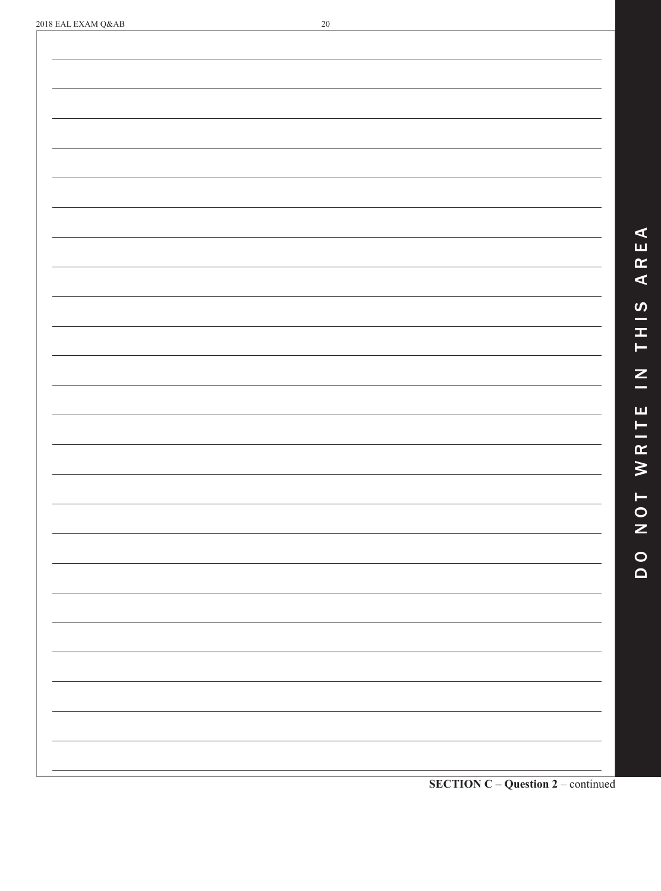d o n o t w r i t e i n t h i s a r e a

WRITE

TON

 $\begin{array}{c}\n0 \\
0\n\end{array}$ 

 $\overline{z}$ 

THIS

 $\blacktriangleleft$  $\pmb{\pmb{\sqcup}}$  $\alpha$  $\blacktriangleleft$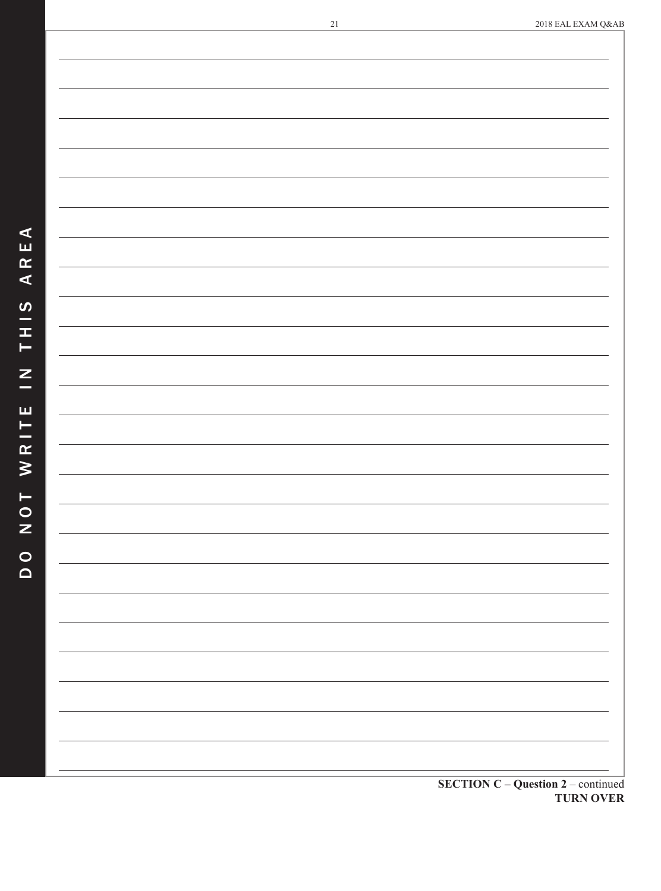| $C_{\mathbf{E} \mathbf{C} \mathbf{F} \mathbf{I} \mathbf{O} \mathbf{N} \mathbf{C}}$ |
|------------------------------------------------------------------------------------|
|                                                                                    |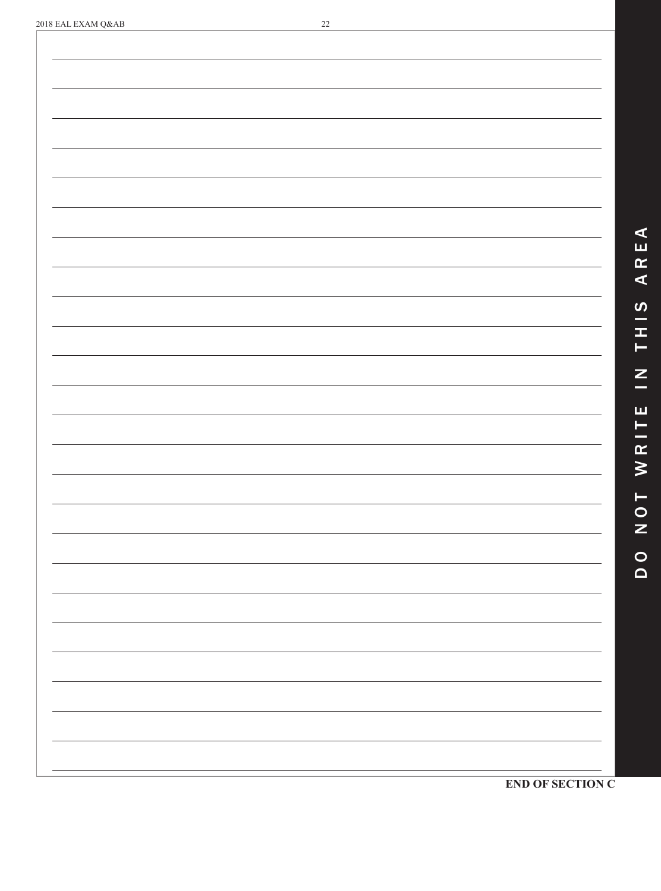| $\blacktriangleleft$<br>$\frac{11}{2}$<br>R<br>A |
|--------------------------------------------------|
| S<br>ココ<br>ſ                                     |
|                                                  |
| WRITE                                            |
| <br> <br>                                        |
| C<br>וכ<br>ì<br>Í<br>I                           |

**END OF SECTION C**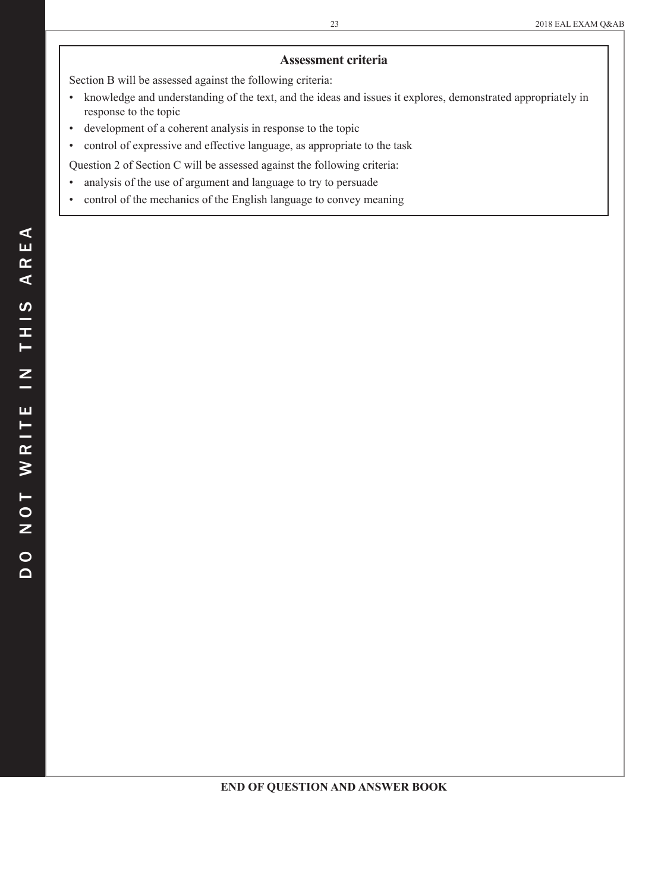#### **Assessment criteria**

Section B will be assessed against the following criteria:

- • knowledge and understanding of the text, and the ideas and issues it explores, demonstrated appropriately in response to the topic
- • development of a coherent analysis in response to the topic
- control of expressive and effective language, as appropriate to the task

Question 2 of Section C will be assessed against the following criteria:

- analysis of the use of argument and language to try to persuade
- control of the mechanics of the English language to convey meaning

**END OF QUESTION AND ANSWER BOOK**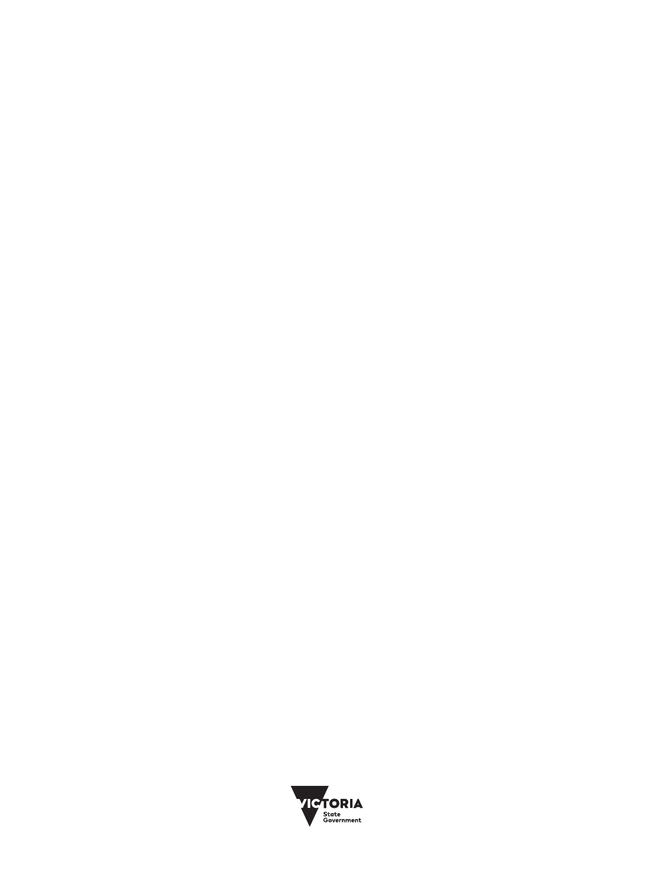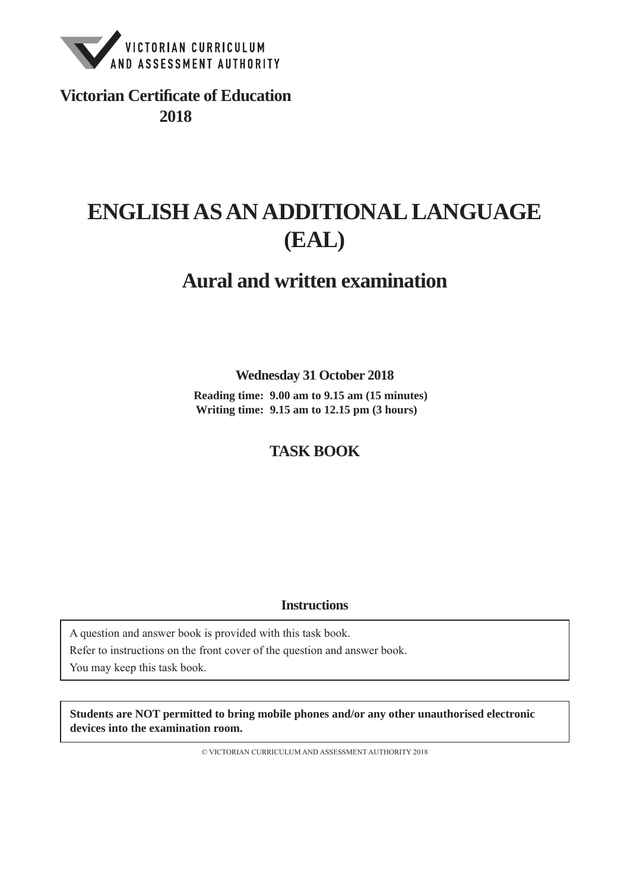

**Victorian Certifi cate of Education 2018**

# **ENGLISH AS AN ADDITIONAL LANGUAGE (EAL)**

# **Aural and written examination**

**Wednesday 31 October 2018**

**Reading time: 9.00 am to 9.15 am (15 minutes) Writing time: 9.15 am to 12.15 pm (3 hours)**

# **TASK BOOK**

# **Instructions**

A question and answer book is provided with this task book.

Refer to instructions on the front cover of the question and answer book.

You may keep this task book.

**Students are NOT permitted to bring mobile phones and/or any other unauthorised electronic devices into the examination room.**

© VICTORIAN CURRICULUM AND ASSESSMENT AUTHORITY 2018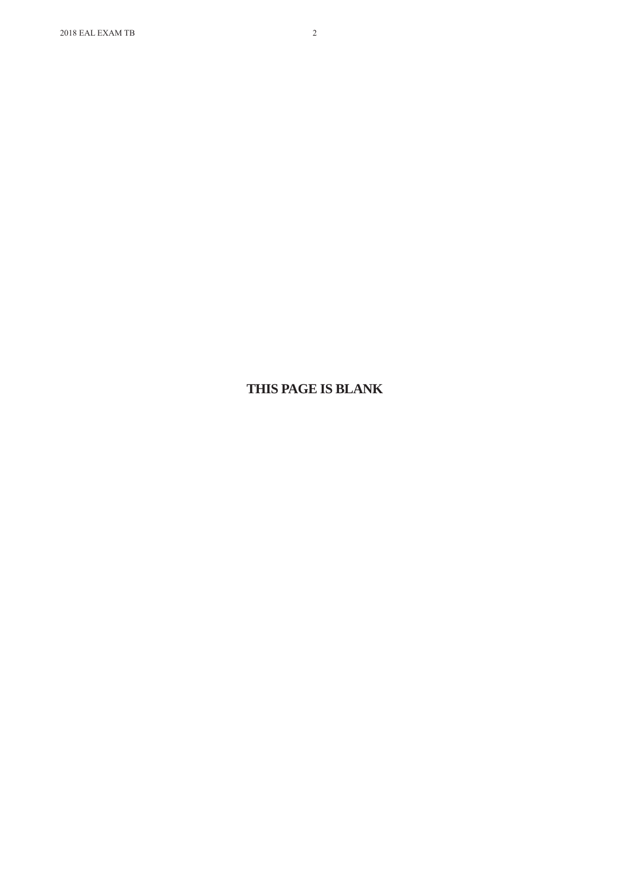# **THIS PAGE IS BLANK**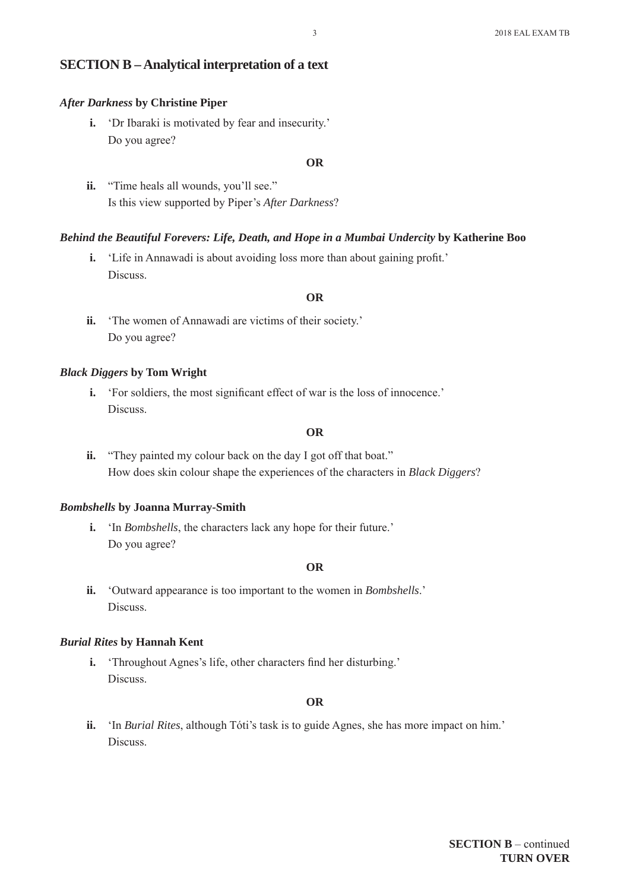# **SECTION B – Analytical interpretation of a text**

#### *After Darkness* **by Christine Piper**

**i.** 'Dr Ibaraki is motivated by fear and insecurity.' Do you agree?

#### **OR**

**ii.** "Time heals all wounds, you'll see." Is this view supported by Piper's *After Darkness*?

#### *Behind the Beautiful Forevers: Life, Death, and Hope in a Mumbai Undercity* **by Katherine Boo**

**i.** 'Life in Annawadi is about avoiding loss more than about gaining profit.' **Discuss**.

#### **OR**

**ii.** 'The women of Annawadi are victims of their society.' Do you agree?

#### *Black Diggers* **by Tom Wright**

**i.** 'For soldiers, the most significant effect of war is the loss of innocence.' Discuss.

#### **OR**

**ii.** "They painted my colour back on the day I got off that boat." How does skin colour shape the experiences of the characters in *Black Diggers*?

#### *Bombshells* **by Joanna Murray-Smith**

**i.** 'In *Bombshells*, the characters lack any hope for their future.' Do you agree?

#### **OR**

**ii.** 'Outward appearance is too important to the women in *Bombshells*.' Discuss.

#### *Burial Rites* **by Hannah Kent**

**i.** 'Throughout Agnes's life, other characters find her disturbing.' Discuss.

#### **OR**

**ii.** 'In *Burial Rites*, although Tóti's task is to guide Agnes, she has more impact on him.' Discuss.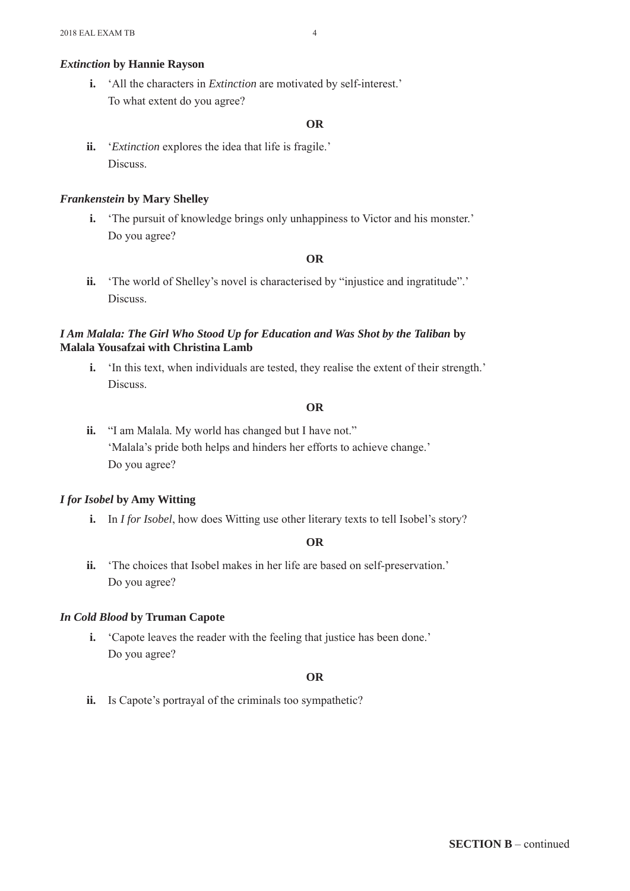### *Extinction* **by Hannie Rayson**

**i.** 'All the characters in *Extinction* are motivated by self-interest.' To what extent do you agree?

# **OR**

**ii.** '*Extinction* explores the idea that life is fragile.' **Discuss** 

#### *Frankenstein* **by Mary Shelley**

**i.** 'The pursuit of knowledge brings only unhappiness to Victor and his monster.' Do you agree?

#### **OR**

**ii.** 'The world of Shelley's novel is characterised by "injustice and ingratitude".' **Discuss** 

## *I Am Malala: The Girl Who Stood Up for Education and Was Shot by the Taliban* **by Malala Yousafzai with Christina Lamb**

**i.** 'In this text, when individuals are tested, they realise the extent of their strength.' Discuss.

#### **OR**

**ii.** "I am Malala. My world has changed but I have not." 'Malala's pride both helps and hinders her efforts to achieve change.' Do you agree?

#### *I for Isobel* **by Amy Witting**

**i.** In *I for Isobel*, how does Witting use other literary texts to tell Isobel's story?

### **OR**

**ii.** 'The choices that Isobel makes in her life are based on self-preservation.' Do you agree?

#### *In Cold Blood* **by Truman Capote**

**i.** 'Capote leaves the reader with the feeling that justice has been done.' Do you agree?

#### **OR**

**ii.** Is Capote's portrayal of the criminals too sympathetic?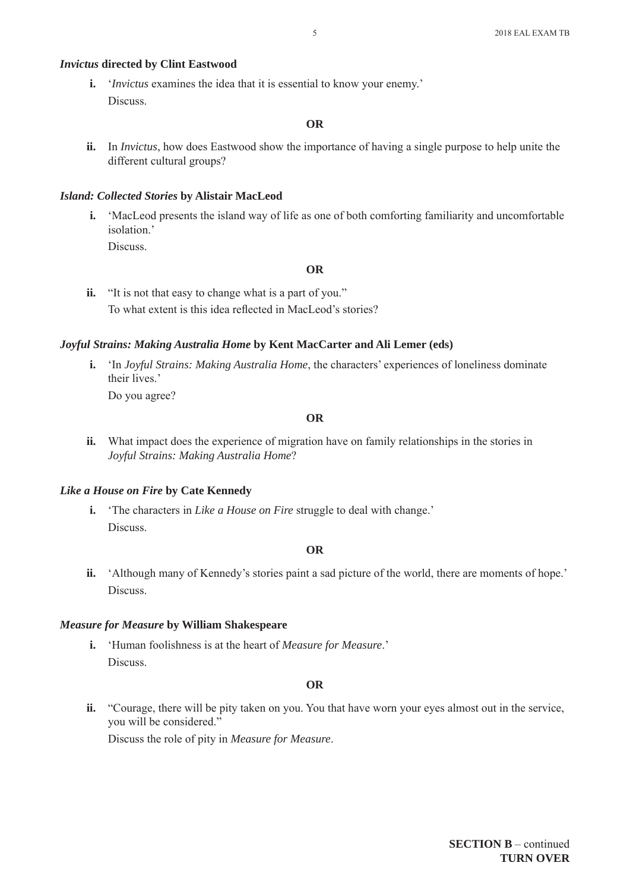#### *Invictus* **directed by Clint Eastwood**

# **i.** '*Invictus* examines the idea that it is essential to know your enemy.' **Discuss**

## **OR**

**ii.** In *Invictus*, how does Eastwood show the importance of having a single purpose to help unite the different cultural groups?

#### *Island: Collected Stories* **by Alistair MacLeod**

**i.** 'MacLeod presents the island way of life as one of both comforting familiarity and uncomfortable isolation<sup>'</sup>

Discuss.

#### **OR**

**ii.** "It is not that easy to change what is a part of you." To what extent is this idea reflected in MacLeod's stories?

#### *Joyful Strains: Making Australia Home* **by Kent MacCarter and Ali Lemer (eds)**

**i.** 'In *Joyful Strains: Making Australia Home*, the characters' experiences of loneliness dominate their lives.' Do you agree?

#### **OR**

**ii.** What impact does the experience of migration have on family relationships in the stories in *Joyful Strains: Making Australia Home*?

#### *Like a House on Fire* **by Cate Kennedy**

**i.** 'The characters in *Like a House on Fire* struggle to deal with change.' **Discuss** 

#### **OR**

**ii.** 'Although many of Kennedy's stories paint a sad picture of the world, there are moments of hope.' Discuss.

#### *Measure for Measure* **by William Shakespeare**

**i.** 'Human foolishness is at the heart of *Measure for Measure*.' **Discuss** 

**OR**

**ii.** "Courage, there will be pity taken on you. You that have worn your eyes almost out in the service, you will be considered."

Discuss the role of pity in *Measure for Measure*.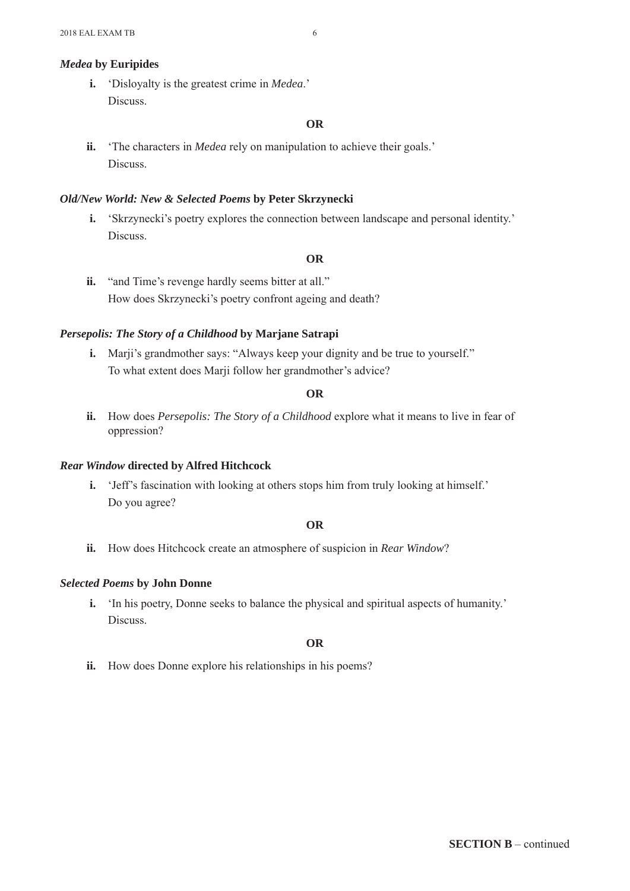#### *Medea* **by Euripides**

**i.** 'Disloyalty is the greatest crime in *Medea*.' **Discuss**.

# **OR**

**ii.** 'The characters in *Medea* rely on manipulation to achieve their goals.' **Discuss** 

#### *Old/New World: New & Selected Poems* **by Peter Skrzynecki**

**i.** 'Skrzynecki's poetry explores the connection between landscape and personal identity.' Discuss.

#### **OR**

**ii.** "and Time's revenge hardly seems bitter at all." How does Skrzynecki's poetry confront ageing and death?

### *Persepolis: The Story of a Childhood* **by Marjane Satrapi**

**i.** Marji's grandmother says: "Always keep your dignity and be true to yourself." To what extent does Marji follow her grandmother's advice?

#### **OR**

**ii.** How does *Persepolis: The Story of a Childhood* explore what it means to live in fear of oppression?

#### *Rear Window* **directed by Alfred Hitchcock**

**i.** 'Jeff's fascination with looking at others stops him from truly looking at himself.' Do you agree?

#### **OR**

**ii.** How does Hitchcock create an atmosphere of suspicion in *Rear Window*?

#### *Selected Poems* **by John Donne**

**i.** 'In his poetry, Donne seeks to balance the physical and spiritual aspects of humanity.' Discuss.

#### **OR**

**ii.** How does Donne explore his relationships in his poems?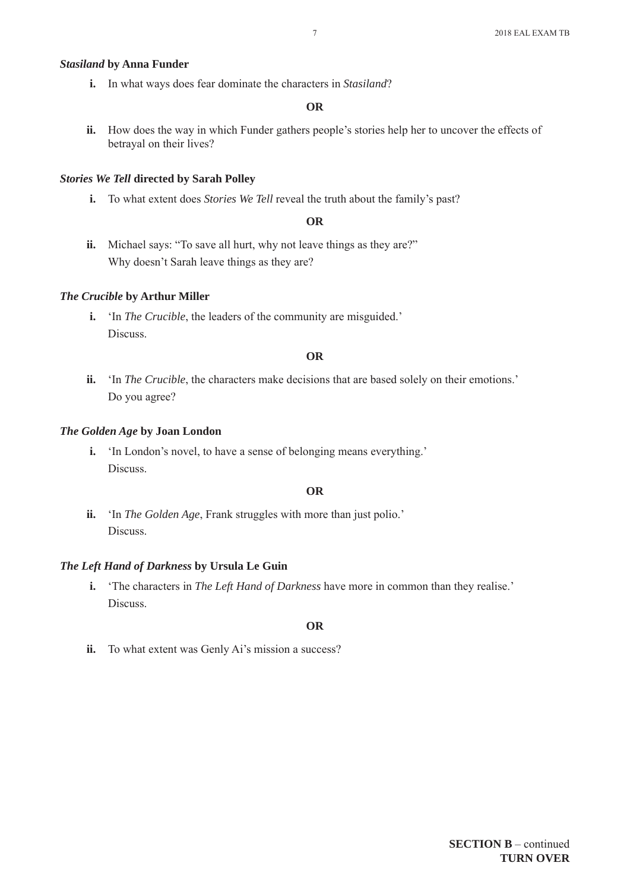#### *Stasiland* **by Anna Funder**

**i.** In what ways does fear dominate the characters in *Stasiland*?

#### **OR**

**ii.** How does the way in which Funder gathers people's stories help her to uncover the effects of betrayal on their lives?

#### *Stories We Tell* **directed by Sarah Polley**

**i.** To what extent does *Stories We Tell* reveal the truth about the family's past?

### **OR**

**ii.** Michael says: "To save all hurt, why not leave things as they are?" Why doesn't Sarah leave things as they are?

### *The Crucible* **by Arthur Miller**

**i.** 'In *The Crucible*, the leaders of the community are misguided.' **Discuss**.

#### **OR**

**ii.** 'In *The Crucible*, the characters make decisions that are based solely on their emotions.' Do you agree?

#### *The Golden Age* **by Joan London**

**i.** 'In London's novel, to have a sense of belonging means everything.' Discuss.

#### **OR**

**ii.** 'In *The Golden Age*, Frank struggles with more than just polio.' Discuss.

### *The Left Hand of Darkness* **by Ursula Le Guin**

**i.** 'The characters in *The Left Hand of Darkness* have more in common than they realise.' Discuss.

#### **OR**

ii. To what extent was Genly Ai's mission a success?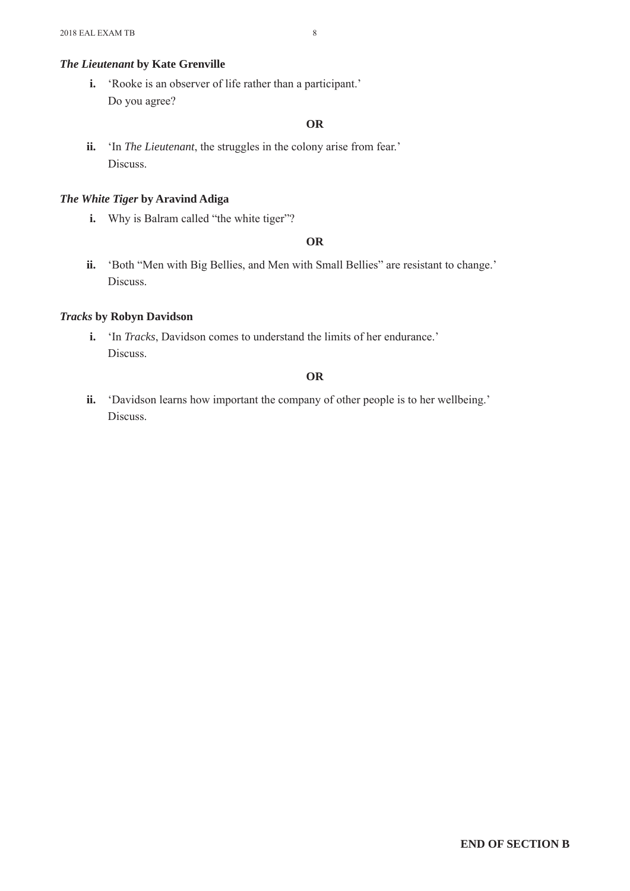# *The Lieutenant* **by Kate Grenville**

**i.** 'Rooke is an observer of life rather than a participant.' Do you agree?

## **OR**

**ii.** 'In *The Lieutenant*, the struggles in the colony arise from fear.' **Discuss** 

#### *The White Tiger* **by Aravind Adiga**

**i.** Why is Balram called "the white tiger"?

## **OR**

ii. 'Both "Men with Big Bellies, and Men with Small Bellies" are resistant to change.' Discuss.

#### *Tracks* **by Robyn Davidson**

**i.** 'In *Tracks*, Davidson comes to understand the limits of her endurance.' Discuss.

## **OR**

**ii.** 'Davidson learns how important the company of other people is to her wellbeing.' Discuss.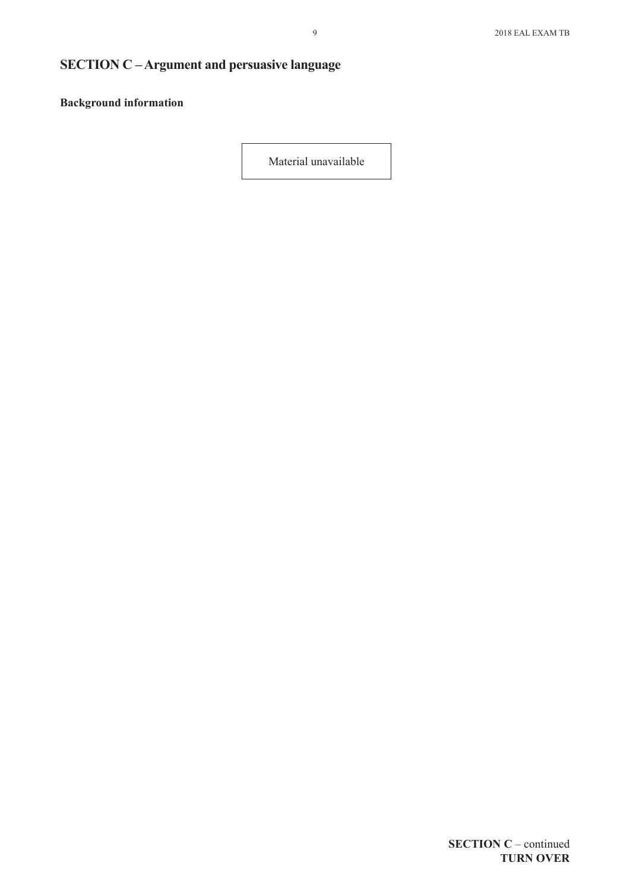# **SECTION C – Argument and persuasive language**

**Background information**

Material unavailable